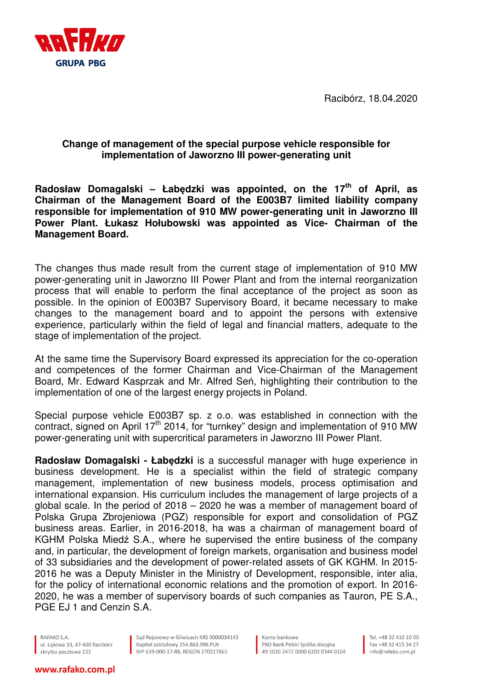Racibórz, 18.04.2020



## **Change of management of the special purpose vehicle responsible for implementation of Jaworzno III power-generating unit**

**Radosław Domagalski – Łabędzki was appointed, on the 17th of April, as Chairman of the Management Board of the E003B7 limited liability company responsible for implementation of 910 MW power-generating unit in Jaworzno III Power Plant. Łukasz Hołubowski was appointed as Vice- Chairman of the Management Board.** 

The changes thus made result from the current stage of implementation of 910 MW power-generating unit in Jaworzno III Power Plant and from the internal reorganization process that will enable to perform the final acceptance of the project as soon as possible. In the opinion of E003B7 Supervisory Board, it became necessary to make changes to the management board and to appoint the persons with extensive experience, particularly within the field of legal and financial matters, adequate to the stage of implementation of the project.

At the same time the Supervisory Board expressed its appreciation for the co-operation and competences of the former Chairman and Vice-Chairman of the Management Board, Mr. Edward Kasprzak and Mr. Alfred Seń, highlighting their contribution to the implementation of one of the largest energy projects in Poland.

Special purpose vehicle E003B7 sp. z o.o. was established in connection with the contract, signed on April 17<sup>th</sup> 2014, for "turnkey" design and implementation of 910 MW power-generating unit with supercritical parameters in Jaworzno III Power Plant.

**Radosław Domagalski - Łabędzki** is a successful manager with huge experience in business development. He is a specialist within the field of strategic company management, implementation of new business models, process optimisation and international expansion. His curriculum includes the management of large projects of a global scale. In the period of 2018 – 2020 he was a member of management board of Polska Grupa Zbrojeniowa (PGZ) responsible for export and consolidation of PGZ business areas. Earlier, in 2016-2018, ha was a chairman of management board of KGHM Polska Miedź S.A., where he supervised the entire business of the company and, in particular, the development of foreign markets, organisation and business model of 33 subsidiaries and the development of power-related assets of GK KGHM. In 2015- 2016 he was a Deputy Minister in the Ministry of Development, responsible, inter alia, for the policy of international economic relations and the promotion of export. In 2016- 2020, he was a member of supervisory boards of such companies as Tauron, PE S.A., PGE EJ 1 and Cenzin S.A.

RAFAKO S.A. ul. Łąkowa 33, 47-400 Racibórz skrytka pocztowa 135

Sąd Rejonowy w Gliwicach KRS 0000034143<br>Kapitał zakładowy 254.863.996 PLN<br>NIP 639-000-17-88, REGON 270217865

Konto bankowe PKO Bank Polski Spółka Akcyjna  $\frac{1}{2}$  49 1020 2472 0000 6202 0344 0104

Tel. +48 32 410 10 00 Fax +48 32 415 34 27 info@rafako.com.pl

## www.rafako.com.pl